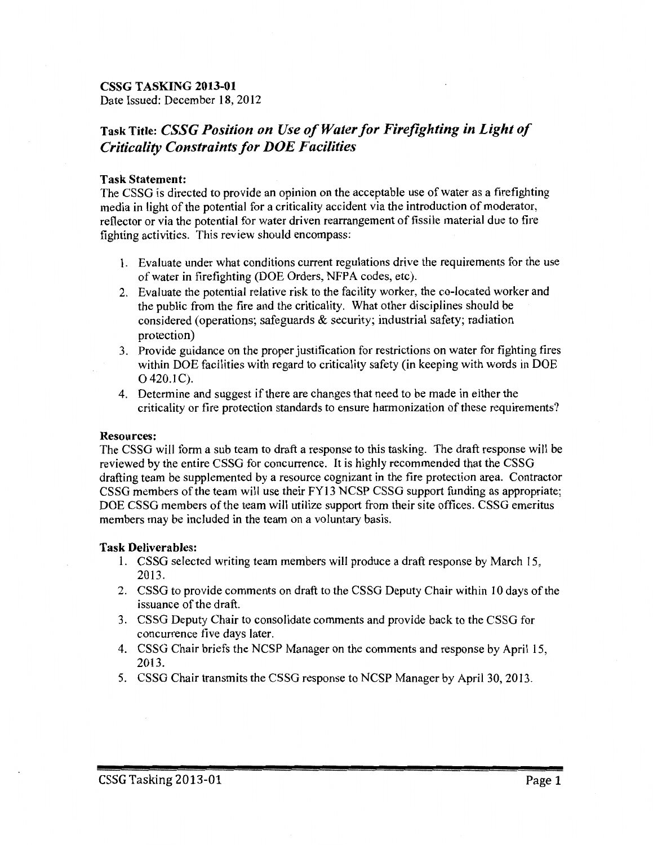## CSSG TASKING 2013-01

Date Issued: December 18, 2012

# Task Title: *CSSG Position on Use of Water for Firefighting in Light of Criticality Constraints for DOE Facilities*

#### Task Statement:

The CSSG is directed to provide an opinion on the acceptable use of water as a firefighting media in light of the potential for a criticality accident via the introduction of moderator, reflector or via the potential for water driven rearrangement of fissile material due to fire fighting activities. This review should encompass:

- 1. Evaluate under what conditions current regulations drive the requirements for the use ofwater in firefighting (DOE Orders, NFPA codes, etc).
- 2. Evaluate the potential relative risk to the facility worker, the co-located worker and the public from the fire and the criticality. What other disciplines should be considered (operations; safeguards & security; industrial safety; radiation protection)
- 3. Provide guidance on the proper justification for restrictions on water for fighting fires within DOE facilities with regard to criticality safety (in keeping with words in DOE 0 420.1C).
- 4. Determine and suggest if there are changes that need to be made in either the criticality or fire protection standards to ensure harmonization of these requirements?

### Resources:

The CSSG will form a sub team to draft a response to this tasking. The draft response will be reviewed by the entire CSSG for concurrence. It is highly recommended that the CSSG drafting team be supplemented by a resource cognizant in the fire protection area. Contractor CSSG members of the team will use their FY13 NCSP CSSG support funding as appropriate; DOE CSSG members of the team will utilize support from their site offices. CSSG emeritus members may be included in the team on a voluntary basis.

#### Task Deliverables:

- 1. CSSG selected writing team members will produce a draft response by March 15, 2013.
- 2. CSSG to provide comments on draft to the CSSG Deputy Chair within 10 days ofthe issuance of the draft.
- 3. CSSG Deputy Chair to consolidate comments and provide back to the CSSG for concurrence five days later.
- 4. CSSG Chair briefs the NCSP Manager on the comments and response by April 15, 2013.
- 5. CSSG Chair transmits the CSSG response to NCSP Manager by April 30, 2013.